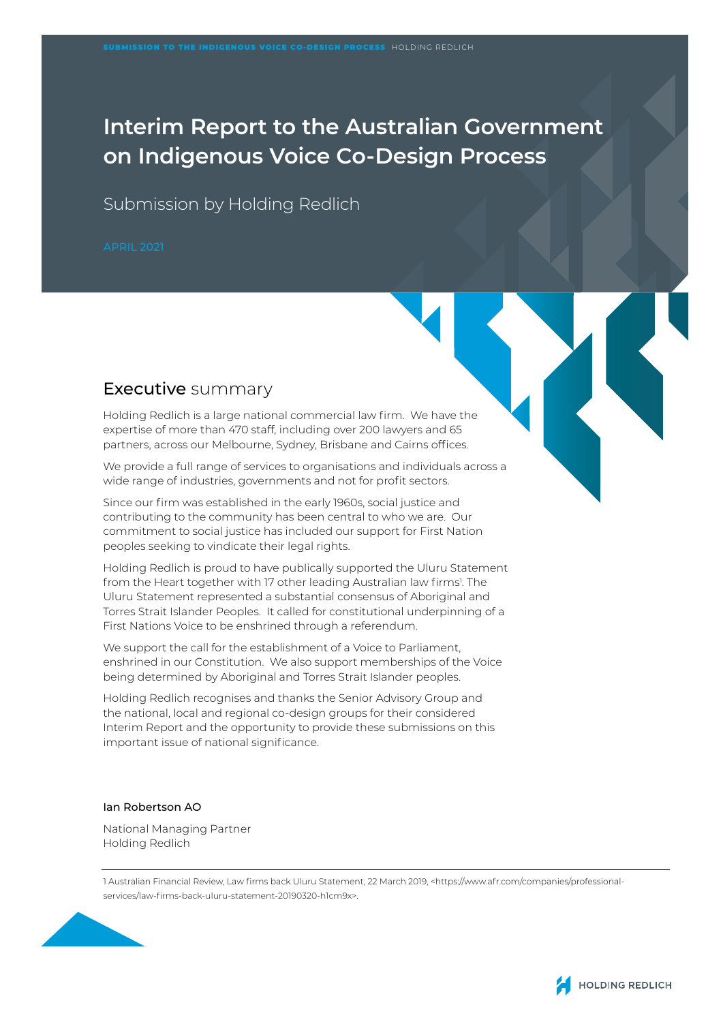# **Interim Report to the Australian Government on Indigenous Voice Co-Design Process**

Submission by Holding Redlich

## Executive summary

Holding Redlich is a large national commercial law firm. We have the expertise of more than 470 staff, including over 200 lawyers and 65 partners, across our Melbourne, Sydney, Brisbane and Cairns offices.

We provide a full range of services to organisations and individuals across a wide range of industries, governments and not for profit sectors.

Since our firm was established in the early 1960s, social justice and contributing to the community has been central to who we are. Our commitment to social justice has included our support for First Nation peoples seeking to vindicate their legal rights.

Holding Redlich is proud to have publically supported the Uluru Statement from the Heart together with 17 other leading Australian law firms<sup>1</sup>. The Uluru Statement represented a substantial consensus of Aboriginal and Torres Strait Islander Peoples. It called for constitutional underpinning of a First Nations Voice to be enshrined through a referendum.

We support the call for the establishment of a Voice to Parliament. enshrined in our Constitution. We also support memberships of the Voice being determined by Aboriginal and Torres Strait Islander peoples.

Holding Redlich recognises and thanks the Senior Advisory Group and the national, local and regional co-design groups for their considered Interim Report and the opportunity to provide these submissions on this important issue of national significance.

Ian Robertson AO

National Managing Partner Holding Redlich

1 Australian Financial Review, Law firms back Uluru Statement, 22 March 2019, <https://www.afr.com/companies/professionalservices/law-firms-back-uluru-statement-20190320-h1cm9x>.



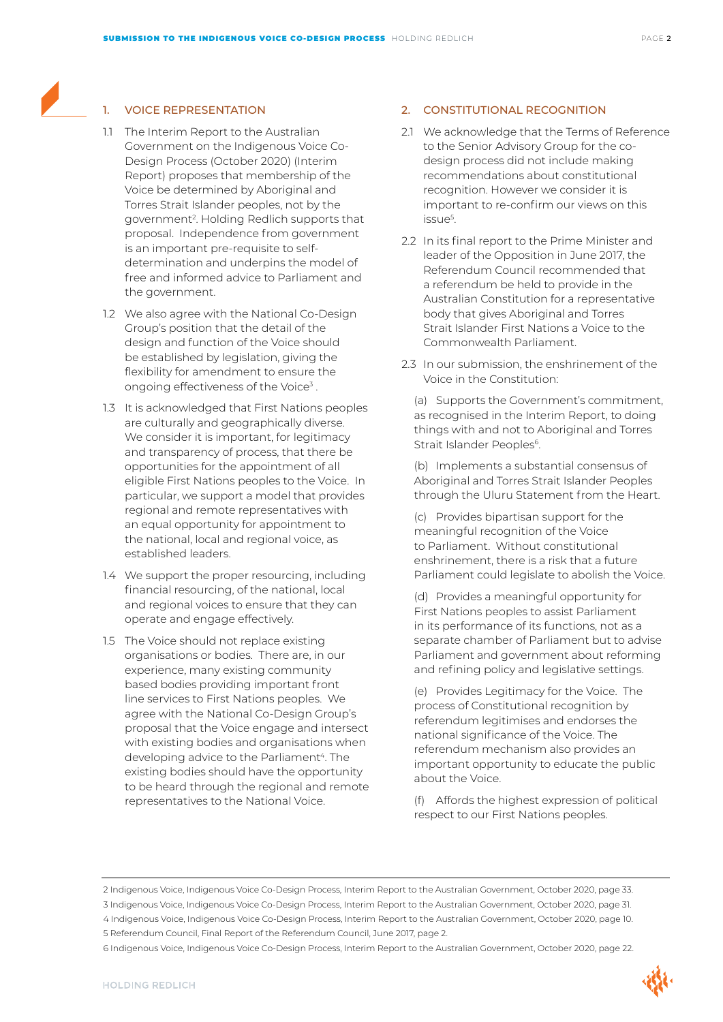### 1. VOICE REPRESENTATION

- 1.1 The Interim Report to the Australian Government on the Indigenous Voice Co-Design Process (October 2020) (Interim Report) proposes that membership of the Voice be determined by Aboriginal and Torres Strait Islander peoples, not by the government2. Holding Redlich supports that proposal. Independence from government is an important pre-requisite to selfdetermination and underpins the model of free and informed advice to Parliament and the government.
- 1.2 We also agree with the National Co-Design Group's position that the detail of the design and function of the Voice should be established by legislation, giving the flexibility for amendment to ensure the ongoing effectiveness of the Voice<sup>3</sup>.
- 1.3 It is acknowledged that First Nations peoples are culturally and geographically diverse. We consider it is important, for legitimacy and transparency of process, that there be opportunities for the appointment of all eligible First Nations peoples to the Voice. In particular, we support a model that provides regional and remote representatives with an equal opportunity for appointment to the national, local and regional voice, as established leaders.
- 1.4 We support the proper resourcing, including financial resourcing, of the national, local and regional voices to ensure that they can operate and engage effectively.
- 1.5 The Voice should not replace existing organisations or bodies. There are, in our experience, many existing community based bodies providing important front line services to First Nations peoples. We agree with the National Co-Design Group's proposal that the Voice engage and intersect with existing bodies and organisations when developing advice to the Parliament<sup>4</sup>. The existing bodies should have the opportunity to be heard through the regional and remote representatives to the National Voice.

#### 2. CONSTITUTIONAL RECOGNITION

- 2.1 We acknowledge that the Terms of Reference to the Senior Advisory Group for the codesign process did not include making recommendations about constitutional recognition. However we consider it is important to re-confirm our views on this issue5 .
- 2.2 In its final report to the Prime Minister and leader of the Opposition in June 2017, the Referendum Council recommended that a referendum be held to provide in the Australian Constitution for a representative body that gives Aboriginal and Torres Strait Islander First Nations a Voice to the Commonwealth Parliament.
- 2.3 In our submission, the enshrinement of the Voice in the Constitution:

(a) Supports the Government's commitment, as recognised in the Interim Report, to doing things with and not to Aboriginal and Torres Strait Islander Peoples<sup>6</sup>.

(b) Implements a substantial consensus of Aboriginal and Torres Strait Islander Peoples through the Uluru Statement from the Heart.

(c) Provides bipartisan support for the meaningful recognition of the Voice to Parliament. Without constitutional enshrinement, there is a risk that a future Parliament could legislate to abolish the Voice.

(d) Provides a meaningful opportunity for First Nations peoples to assist Parliament in its performance of its functions, not as a separate chamber of Parliament but to advise Parliament and government about reforming and refining policy and legislative settings.

(e) Provides Legitimacy for the Voice. The process of Constitutional recognition by referendum legitimises and endorses the national significance of the Voice. The referendum mechanism also provides an important opportunity to educate the public about the Voice.

(f) Affords the highest expression of political respect to our First Nations peoples.

4 Indigenous Voice, Indigenous Voice Co-Design Process, Interim Report to the Australian Government, October 2020, page 10. 5 Referendum Council, Final Report of the Referendum Council, June 2017, page 2.

<sup>2</sup> Indigenous Voice, Indigenous Voice Co-Design Process, Interim Report to the Australian Government, October 2020, page 33.

<sup>3</sup> Indigenous Voice, Indigenous Voice Co-Design Process, Interim Report to the Australian Government, October 2020, page 31.

<sup>6</sup> Indigenous Voice, Indigenous Voice Co-Design Process, Interim Report to the Australian Government, October 2020, page 22.